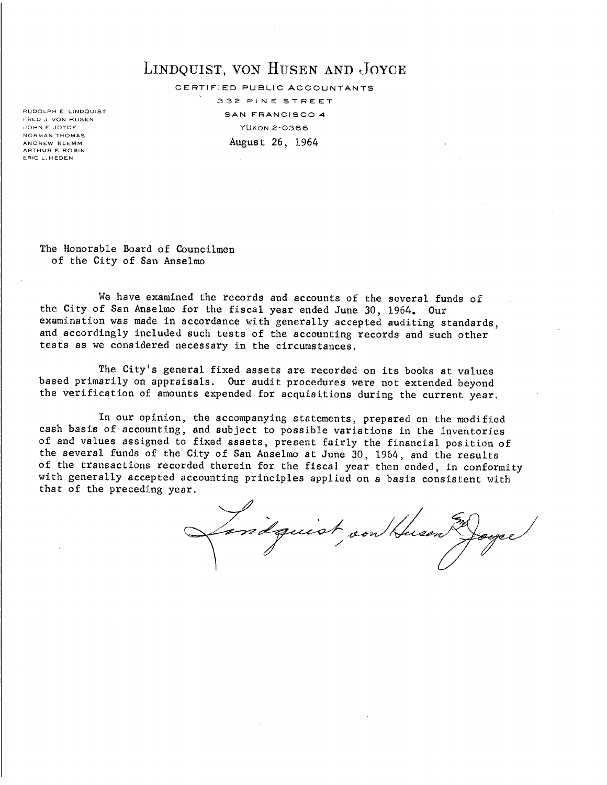# LINDQUIST, VON HUSEN AND JOYCE

CERTIFIED PUBLIC ACCOUNTANTS

332 PINE STREET SAN FRANCISCO 4 YUKON 2-0366 August 26, 1964

RUDOLPH E LINDQUIST FRED J. VON HUSEN JOHN F JOYCE NORMAN THOMAS ANDREW KLEMM ARTHUR F. ROBIN ERIC L. H EDEN

> The Honorable Board of Councilmen of the City of San Anselmo

We have examined the records and accounts of the several funds of the City of San Anselmo for the fiscal year ended June 30, 1964. Our examination was made in accordance with generally accepted auditing standards, and accordingly included such tests of the accounting records and such other tests as we considered necessary in the circumstances.

The City's general fixed assets are recorded on its books at values based primarily on appraisals. Our audit procedures were not extended beyond the verification of amounts expended for acquisitions during the current year.

In our opinion, the accompanying statements, prepared on the modified cash basis of accounting, and subject to possible variations in the inventories of and values assigned to fixed assets, present fairly the financial position of the several funds of the City of San Anselmo at June 30, 1964, and the results of the transactions recorded therein for the fiscal year then ended, in conformity with generally accepted accounting principles applied on a basis consistent with that of the preceding year.

indquist son Husen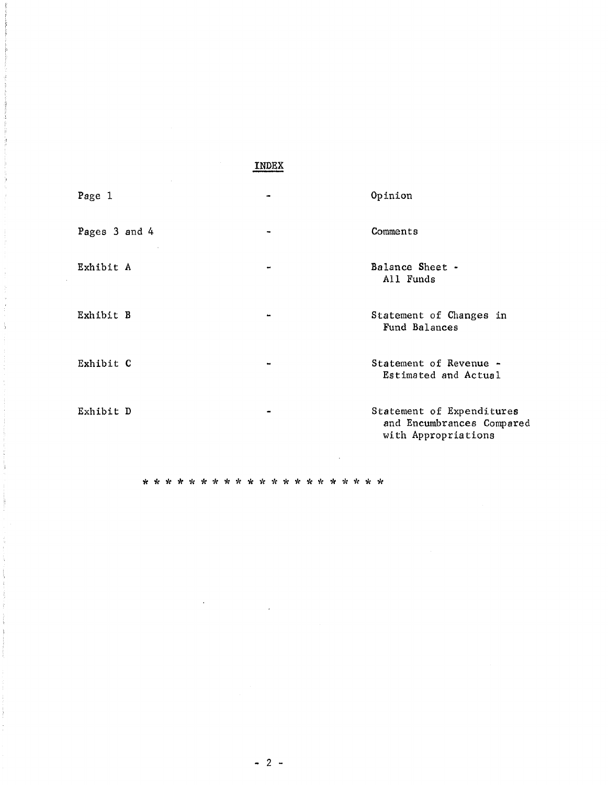## INDEX

| Page 1        | Opinion                                                                       |
|---------------|-------------------------------------------------------------------------------|
| Pages 3 and 4 | Comments                                                                      |
| Exhibit A     | Balance Sheet -<br>All Funds                                                  |
| Exhibit B     | Statement of Changes in<br>Fund Balances                                      |
| Exhibit C     | Statement of Revenue -<br>Estimated and Actual                                |
| Exhibit D     | Statement of Expenditures<br>and Encumbrances Compared<br>with Appropriations |

 $\ddot{\phantom{a}}$ 

ä

 $-2-$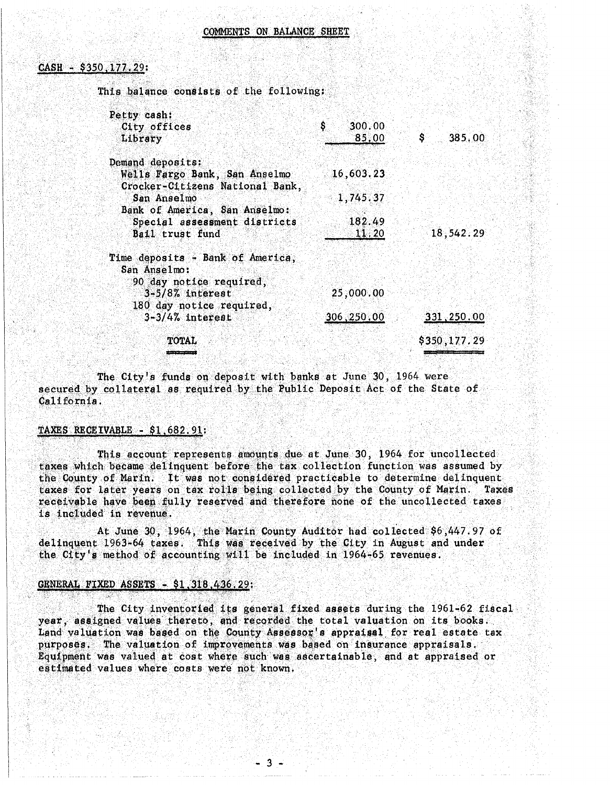### $CASH - $350, 177.29$ :

This balance consists of the following:

| Petty cash:                                                      |              |     |              |
|------------------------------------------------------------------|--------------|-----|--------------|
| City offices                                                     | S.<br>300.00 |     |              |
| Library                                                          | 85,00        | \$. | 385,00       |
| Demand deposits:                                                 |              |     |              |
| Wells Fargo Bank, San Anselmo<br>Crocker-Citizens National Bank, | 16,603.23    |     |              |
| San Anselmo                                                      | 1,745.37     |     |              |
| Bank of America, San Anselmo:                                    |              |     |              |
| Special assessment districts                                     | 182.49       |     |              |
| Bail trust fund                                                  | 11.20        |     | 18,542.29    |
| Time deposits - Bank of America,                                 |              |     |              |
| San Anselmo:                                                     |              |     |              |
| 90 day notice required,                                          |              |     |              |
| $3-5/8$ % interest                                               | 25,000.00    |     |              |
| 180 day notice required,                                         |              |     |              |
| $3 - 3/4%$ interest                                              | 306,250,00   |     | 331,250.00   |
| <b>TOTAL</b>                                                     |              |     | \$350,177.29 |
|                                                                  |              |     |              |

The City's funds on deposit with banks at June 30, 1964 were secured by collateral as required by the Public Deposit Act of the State of California.

### TAXES RECEIVABLE - \$1,682.91:

This account represents amounts due at June 30, 1964 for uncollected taxes which became delinguent before the tax collection function was assumed by the County of Marin. It was not considered practicable to determine delinquent taxes for later years on tax rolls being collected by the County of Marin. Taxes receivable have been fully reserved and therefore none of the uncollected taxes is included in revenue.

At June 30, 1964, the Marin County Auditor had collected \$6,447.97 of delinquent 1963-64 taxes. This was received by the City in August and under the City's method of accounting will be included in 1964-65 revenues.

### GENERAL FIXED ASSETS - \$1,318,436.29:

The City inventoried its general fixed assets during the 1961-62 fiscal year, assigned values thereto, and recorded the total valuation on its books. Land valuation was based on the County Assessor's appraisal for real estate tax. purposes. The valuation of improvements was based on insurance appraisals. Equipment was valued at cost where such was ascertainable, and at appraised or estimated values where costs were not known.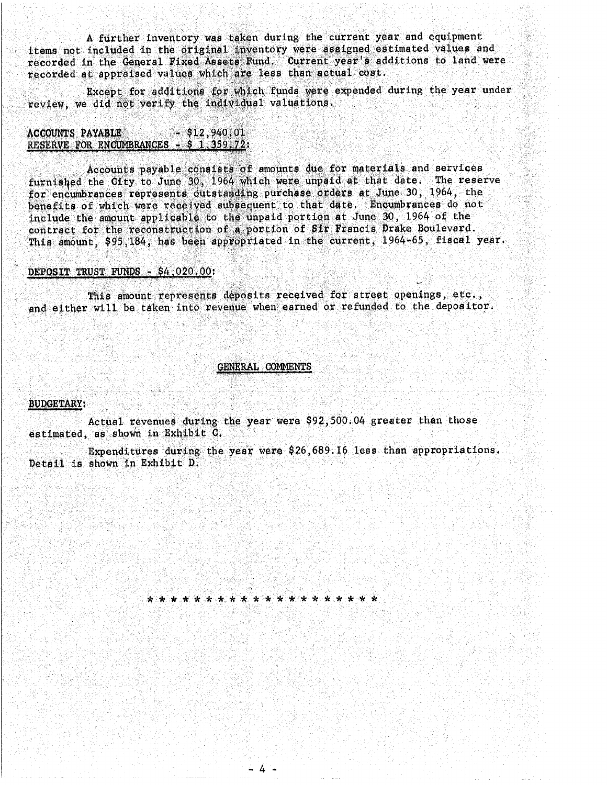A further inventory was taken during the current year and equipment items not included in the original inventory were assigned estimated values and recorded in the General Fixed Assets Fund. Current year's additions to land were recorded at appraised values which are less than actual cost.

Except for additions for which funds were expended during the year under review, we did not verify the individual valuations.

#### $-$  \$12,940,01 **ACCOUNTS PAYABLE** RESERVE FOR ENCUMBRANCES - \$ 1,359.72:

Accounts payable consists of amounts due for materials and services furnished the City to June 30, 1964 which were unpaid at that date. The reserve for encumbrances represents outstanding purchase orders at June 30, 1964, the benefits of which were received subsequent to that date. Encumbrances do not include the amount applicable to the unpaid portion at June 30, 1964 of the contract for the reconstruction of a portion of Sir Francis Drake Boulevard. This amount, \$95,184, has been appropriated in the current, 1964-65, fiscal year.

### DEPOSIT TRUST FUNDS - \$4,020.00:

This amount represents deposits received for street openings, etc., and either will be taken into revenue when earned or refunded to the depositor.

### GENERAL COMMENTS

### **BUDGETARY:**

Actual revenues during the year were \$92,500.04 greater than those estimated, as shown in Exhibit C.

Expenditures during the year were \$26,689.16 less than appropriations. Detail is shown in Exhibit D.

المولودا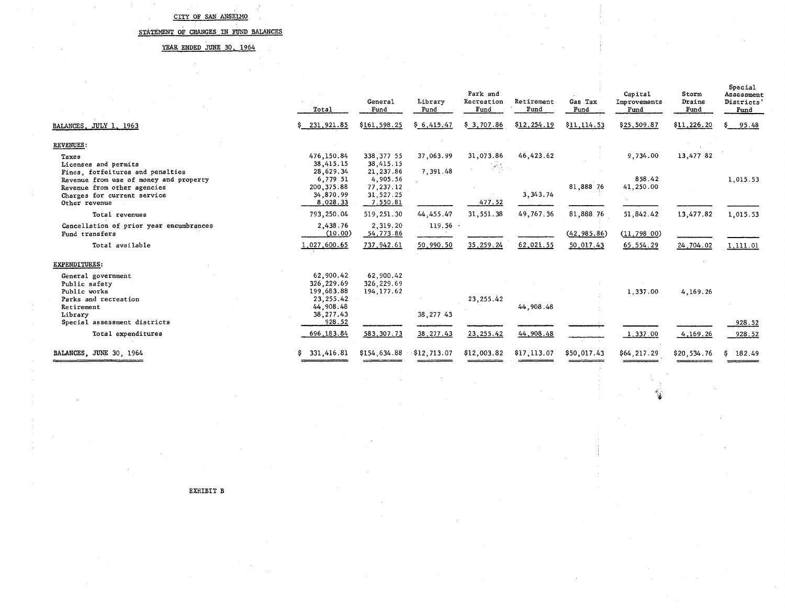$\sim 10^{-1}$  $\mathcal{L}_{\mathrm{c}}$ 

### STATEMENT OF CHANGES IN FUND BALANCES

### YEAR ENDED JUNE 30, 1964

 $\sim$ 

|                                                                                                             | Total                                               | General<br>Fund                                    | Library<br>Fund       | Park and<br>Recreation<br>Fund                          | Retirement<br>Fund | Gas Tax<br>Fund | Capital<br>Improvements<br>Fund | Storm<br>Drains<br>Fund | Special<br>Assessment<br>Districts<br>Fund |
|-------------------------------------------------------------------------------------------------------------|-----------------------------------------------------|----------------------------------------------------|-----------------------|---------------------------------------------------------|--------------------|-----------------|---------------------------------|-------------------------|--------------------------------------------|
| BALANCES, JULY 1, 1963                                                                                      | 231, 921.85                                         | \$161,598.25                                       | \$6,415,47            | \$3,707.86                                              | \$12,254.19        | \$11,114.53     | \$25,509.87                     | \$11,226.20             | 95.48                                      |
| <b>REVENUES:</b>                                                                                            |                                                     |                                                    |                       |                                                         |                    |                 |                                 |                         |                                            |
| Taxes<br>Licenses and permits<br>Fines, forfeitures and penalties<br>Revenue from use of money and property | 476,150.84<br>38,415.15<br>28,629.34<br>6,779 51    | 338, 377 55<br>38,415.15<br>21, 237.86<br>4,905.56 | 37,063.99<br>7,391.48 | 31,073.86<br>$\mathcal{L}^{\mathcal{A}}(\mathcal{A})$ . | 46, 423.62         |                 | 9,734.00<br>858.42              | 13,477 82               | 1,015.53                                   |
| Revenue from other agencies<br>Charges for current service<br>Other revenue                                 | 200, 375.88<br>34,870.99<br>8,028.33                | 77, 237, 12<br>31,527.25<br>7.550.81               |                       | 477.52                                                  | 3, 343.74          | 81,888 76       | 41,250.00                       |                         |                                            |
| Total revenues                                                                                              | 793,250.04                                          | 519,251.30                                         | 44.455.47             | 31,551.38                                               | 49,767.36          | 81,888 76       | 51,842.42                       | 13,477.82               | 1,015.53                                   |
| Cancellation of prior year encumbrances<br>Fund transfers                                                   | 2.438.76<br>(10.00)                                 | 2,319.20<br>54,773.86                              | $119.56$ .            |                                                         |                    | (42, 985.86)    | (11, 798, 00)                   |                         |                                            |
| Total available                                                                                             | 1,027,600.65                                        | 737, 942.61                                        | 50,990.50             | 35, 259. 24                                             | 62,021.55          | 50,017.43       | 65, 554. 29                     | 24,704.02               | 1,111.01                                   |
| <b>EXPENDITURES:</b>                                                                                        |                                                     |                                                    |                       |                                                         |                    |                 |                                 |                         |                                            |
| General government<br>Public safety<br>Public works<br>Parks and recreation                                 | 62,900.42<br>326,229.69<br>199,683.88<br>23, 255.42 | 62,900.42<br>326, 229.69<br>194, 177.62            |                       | 23, 255.42                                              |                    |                 | 1,337.00                        | 4,169.26                |                                            |
| Retirement<br>Library<br>Special assessment districts                                                       | 44,908.48<br>38, 277.43<br>928.52                   |                                                    | 38, 277 43            |                                                         | 44,908.48          |                 |                                 |                         | 928.52                                     |
| Total expenditures                                                                                          | 696, 183.84                                         | 583, 307. 73                                       | 38, 277.43            | 23, 255.42                                              | 44,908.48          |                 | 1,337.00                        | 4,169.26                | 928.52                                     |
| BALANCES, JUNE 30, 1964                                                                                     | 331,416.81<br>s                                     | \$154,634.88                                       | $-$ \$12,713.07       | \$12,003.82                                             | \$17,113.07        | \$50,017.43     | \$64,217.29                     | \$20,534.76             | 182.49<br>S.                               |

 $\overline{d}$ ,  $\overline{d}$ 

EXHIBIT B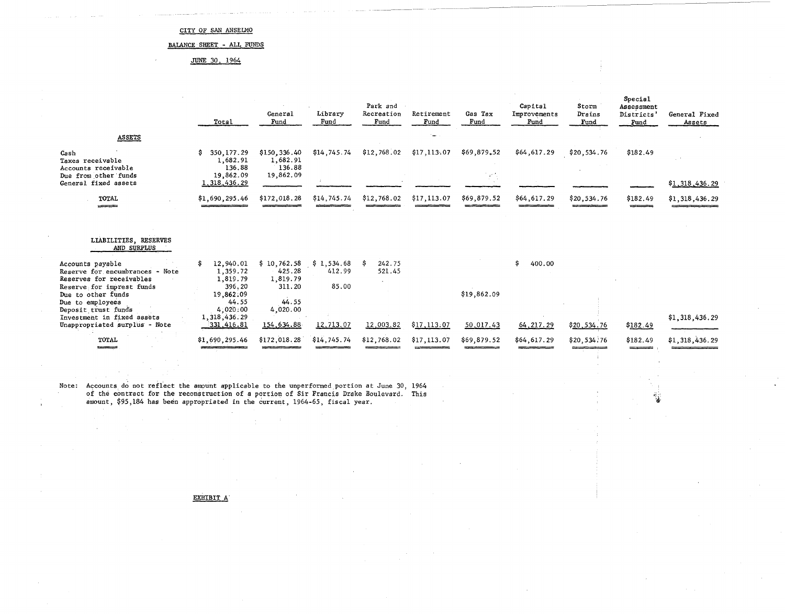### BALANCE SHEET - ALL FUNDS

JUNE 30, 1964

|                                                                                                              | Total                                                | General<br>Fund                                 | Library<br>Fund               | Park and<br>Recreation<br>Fund | Retirement<br>Fund | Gas Tax<br>Fund        | Capital<br>Improvements<br>Fund | Storm<br>Drains<br>Fund | <b>Special</b><br>Assessment<br>Districts'<br>Fund. | General Fixed<br>Assets |
|--------------------------------------------------------------------------------------------------------------|------------------------------------------------------|-------------------------------------------------|-------------------------------|--------------------------------|--------------------|------------------------|---------------------------------|-------------------------|-----------------------------------------------------|-------------------------|
| <b>ASSETS</b>                                                                                                |                                                      |                                                 |                               |                                |                    |                        |                                 |                         |                                                     |                         |
| Cash<br>Taxes receivable<br>Accounts receivable<br>Due from other funds                                      | \$<br>350, 177.29<br>1,682.91<br>136.88<br>19,862.09 | \$150,336.40<br>1,682.91<br>136.88<br>19,862.09 | \$14,745.74                   | \$12,768.02                    | \$17,113.07        | \$69,879.52<br>i et is | \$64,617.29                     | \$20,534.76             | \$182.49                                            |                         |
| General fixed assets                                                                                         | 1, 318, 436.29                                       |                                                 |                               |                                |                    |                        |                                 |                         |                                                     | \$1,318,436.29          |
| <b>TOTAL</b><br>والمستحقق                                                                                    | \$1,690,295.46                                       | \$172,018.28                                    | \$14,745.74                   | \$12,768.02                    | \$17,113.07        | \$69,879.52            | \$64,617.29                     | \$20,534.76             | \$182.49<br>$-$                                     | \$1,318,436.29          |
| LIABILITIES, RESERVES<br>AND SURPLUS                                                                         |                                                      |                                                 |                               |                                |                    |                        |                                 |                         |                                                     |                         |
| Accounts payable<br>Reserve for encumbrances - Note<br>Reserves for receivables<br>Reserve for imprest funds | 12,940.01<br>1,359.72<br>1,819.79<br>396.20          | \$10,762.58<br>425.28<br>1,819.79<br>311.20     | \$1,534.68<br>412.99<br>85.00 | 242.75<br>521.45               |                    |                        | \$<br>400.00                    |                         |                                                     |                         |
| Due to other funds<br>Due to employees<br>Deposit trust funds                                                | 19.862.09<br>44.55<br>4,020:00                       | 44.55<br>4,020.00                               |                               |                                |                    | \$19,862.09            |                                 |                         |                                                     |                         |
| Investment in fixed assets<br>Unappropriated surplus - Note                                                  | 1, 318, 436.29<br>331,416.81                         | 154,634.88                                      | 12,713.07                     | 12,003.82                      | \$17,113.07        | 50,017.43              | 64, 217.29                      | \$20,534.76             | \$182.49                                            | \$1,318,436.29          |
| TOTAL                                                                                                        | \$1,690,295.46                                       | \$172,018.28                                    | \$14,745.74                   | \$12,768.02                    | \$17,113.07        | \$69,879.52            | \$64,617.29                     | \$20,534.76             | \$182.49                                            | \$1,318,436.29          |

'i'~.

Note: Accounts do not reflect the amount applicable to the unperformed portion at June 30, 1964 of the contract for the reconstruction of a portion of Sir Francis Drake Boulevard. This amount, \$95,184 has been appropriated in the current, 1964-65, fiscal year.

EXHIBIT A

 $\bar{1}$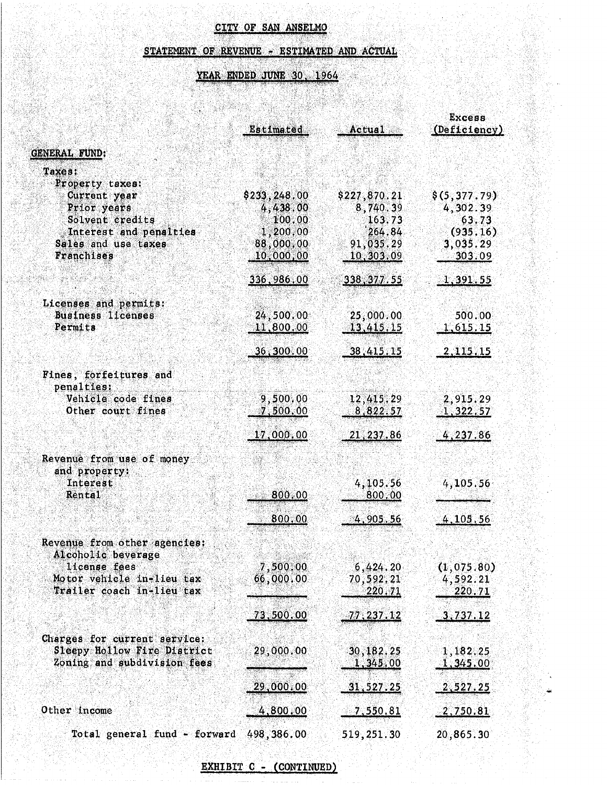# STATEMENT OF REVENUE - ESTIMATED AND ACTUAL<br>YEAR ENDED JUNE 30, 1964

# YEAR ENDED JUNE 30, 1964

X

|                                                                                            | Estimated                          | Actual                                                                                    | <b>Excess</b><br>(Deficiency)           |
|--------------------------------------------------------------------------------------------|------------------------------------|-------------------------------------------------------------------------------------------|-----------------------------------------|
| <b>GENERAL FUND:</b>                                                                       |                                    |                                                                                           |                                         |
| Taxes:<br>Property taxes:                                                                  |                                    |                                                                                           |                                         |
| Current year<br>Prior years<br>Solvent credits                                             | \$233,248,00<br>4,438.00<br>100.00 | \$227,870.21<br>8,740.39<br>163.73                                                        | \$(5,377.79)<br>4,302.39<br>63.73       |
| Interest and penalties<br>Sales and use taxes<br>Franchises                                | 1,200,00<br>88,000.00<br>10,000,00 | 264.84<br>91,035.29<br>$\textcolor{red}{\textbf{-10}}, \textcolor{blue}{\textbf{303.09}}$ | (935.16)<br>3,035.29<br>303.09          |
|                                                                                            | <u>336,986.00</u>                  | <u>338, 377.55</u>                                                                        | <u>1,391.55</u>                         |
| Licenses and permits:<br>Business licenses<br><b>Permits</b>                               | 24,500,00<br>11,800,00             | 25,000.00<br>13,415,15                                                                    | 500.00<br>1,615.15                      |
|                                                                                            | $-36, 300, 00$                     | 38,415.15                                                                                 | <u>2,115.15</u>                         |
| Fines, forfeitures and<br>penalties:                                                       |                                    |                                                                                           |                                         |
| Vehicle code fines<br>Other court fines                                                    | 9,500.00<br>7,500.00               | 12,415.29<br>8,822.57                                                                     | 2,915.29<br>1,322.57                    |
|                                                                                            | 17,000,00                          | 21, 237, 86                                                                               | 4,237.86                                |
| Revenue from use of money<br>and property:                                                 |                                    |                                                                                           |                                         |
| Interest<br>Rental                                                                         | 800.00                             | 4,105.56<br>800.00                                                                        | 4,105.56                                |
|                                                                                            | 800.00                             | <u>4,905.56</u>                                                                           | 4,105,56                                |
| Revenue from other agencies:<br>Alcoholic beverage                                         |                                    |                                                                                           |                                         |
| license fees<br>Motor vehicle in-lieu tax<br>Trailer coach in-lieu tax                     | 7,500.00<br>66,000,00              | 6,424.20<br>70,592,21<br>220.71                                                           | (1,075.80)<br>4,592.21<br><u>220.71</u> |
|                                                                                            | 73,500.00                          | <u>77,237.12</u>                                                                          | <u>3,737.12</u>                         |
| Charges for current service:<br>Sleepy Hollow Fire District<br>Zoning and subdivision fees | 29,000.00                          | 30,182.25<br>1,345,00                                                                     | 1,182,25<br>1,345.00                    |
|                                                                                            | 29,000.00                          | 31,527.25                                                                                 | 2,527.25                                |
| Other income                                                                               | 4,800.00                           | 7,550.81                                                                                  | 2,750.81                                |
| Total general fund - forward                                                               | 498,386.00                         | 519,251.30                                                                                | 20,865.30                               |

EXHIBIT C - (CONTINUED)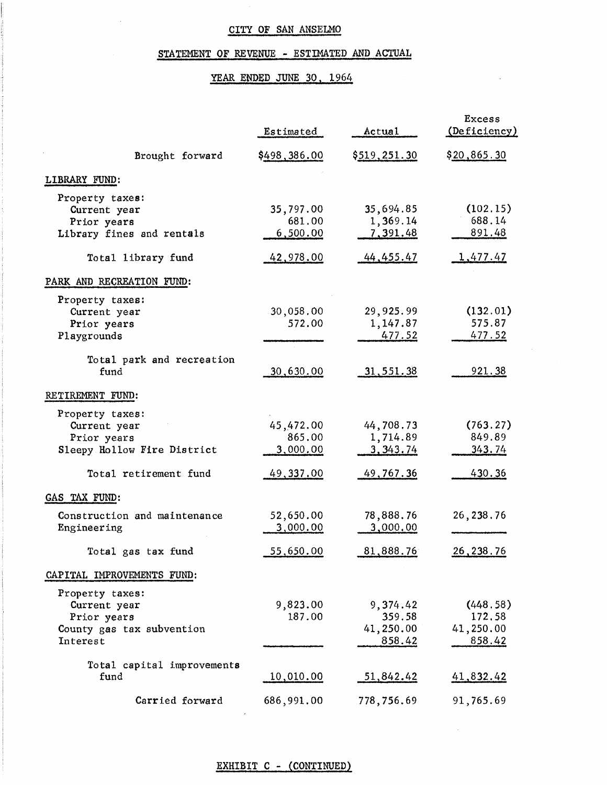## STATEMENT OF REVENUE - ESTIMATED AND ACTUAL

## YEAR ENDED JUNE 30, 1964

 $\bar{\bar{z}}$ 

 $\bar{z}$ 

|                                                                                                        | Estimated                                    | Actual                                          | <b>Excess</b><br>(Deficiency)                 |
|--------------------------------------------------------------------------------------------------------|----------------------------------------------|-------------------------------------------------|-----------------------------------------------|
| Brought forward                                                                                        | \$498,386.00                                 | \$519,251.30                                    | \$20,865.30                                   |
| LIBRARY FUND:                                                                                          |                                              |                                                 |                                               |
| Property taxes:<br>Current year<br>Prior years<br>Library fines and rentals                            | 35,797.00<br>681.00<br>6,500.00              | 35,694.85<br>1,369.14<br>7,391.48               | (102.15)<br>688.14<br>891.48                  |
| Total library fund                                                                                     | 42,978.00                                    | 44, 455. 47                                     | <u>1,477.47</u>                               |
| PARK AND RECREATION FUND:                                                                              |                                              |                                                 |                                               |
| Property taxes:<br>Current year<br>Prior years<br>Playgrounds<br>Total park and recreation             | 30,058.00<br>572.00                          | 29,925.99<br>1,147.87<br>477.52                 | (132.01)<br>575.87<br><u>477.52</u>           |
| fund                                                                                                   | 30,630.00                                    | 31,551.38                                       | 921.38                                        |
| RETIREMENT FUND:                                                                                       |                                              |                                                 |                                               |
| Property taxes:<br>Current year<br>Prior years<br>Sleepy Hollow Fire District<br>Total retirement fund | 45,472.00<br>865.00<br>3,000.00<br>49,337.00 | 44,708.73<br>1,714.89<br>3, 343.74<br>49,767.36 | (763.27)<br>849.89<br>343.74<br><u>430.36</u> |
| GAS TAX FUND:                                                                                          |                                              |                                                 |                                               |
| Construction and maintenance<br>Engineering                                                            | 52,650.00<br>3,000.00                        | 78,888.76<br>3,000.00                           | 26, 238.76                                    |
| Total gas tax fund                                                                                     | 55,650.00                                    | 81,888.76                                       | 26, 238. 76                                   |
| CAPITAL IMPROVEMENTS FUND:                                                                             |                                              |                                                 |                                               |
| Property taxes:<br>Current year<br>Prior years<br>County gas tax subvention<br>Interest                | 9,823.00<br>187.00                           | 9,374.42<br>359.58<br>41,250.00<br>858.42       | (448.58)<br>172.58<br>41,250.00<br>858.42     |
| Total capital improvements<br>fund                                                                     | <u>10,010.00</u>                             | 51,842.42                                       | 41,832.42                                     |
| Carried forward                                                                                        | 686,991.00                                   | 778,756.69                                      | 91,765.69                                     |

## EXHIBIT C - (CONTINUED)

 $\sim$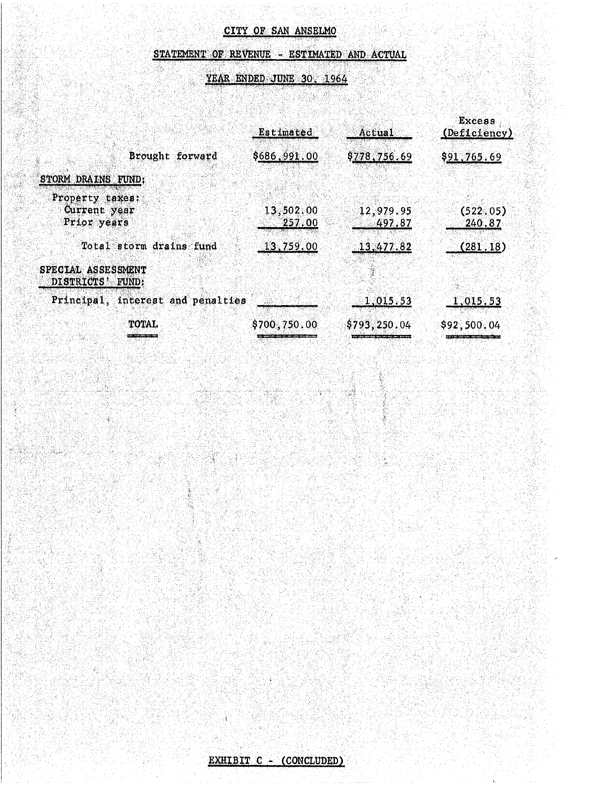## STATEMENT OF REVENUE - ESTIMATED AND ACTUAL

## YEAR ENDED JUNE 30, 1964

XX

|                                                | <b>Estimated</b>                                      | Actual                                                                                     | Excess<br>(Deficiency) |
|------------------------------------------------|-------------------------------------------------------|--------------------------------------------------------------------------------------------|------------------------|
| Brought forward                                | \$686,991.00                                          | \$778,756.69                                                                               | \$91,765.69            |
| STORM DRAINS FUND:                             |                                                       |                                                                                            |                        |
| Property taxes:<br>Current year<br>Prior years | 13,502,00<br>257.00                                   | 12,979.95<br>497.87                                                                        | (522.05)<br>240,87     |
| Total storm drains fund                        | 13,759.00                                             | 13,477.82                                                                                  | (281, 18)              |
| SPECIAL ASSESSMENT<br>DISTRICTS' FUND:         |                                                       |                                                                                            |                        |
| Principal, interest and penalties              |                                                       | 1,015.53                                                                                   | 1,015.53               |
| <b>TOTAL</b>                                   | \$700,750.00                                          | \$793, 250.04                                                                              | \$92,500.04            |
|                                                | r man gans Modernmad, dar, saka matat arbasartsvallan | the property of the control of the control of the control of the control of the control of |                        |

Ē.